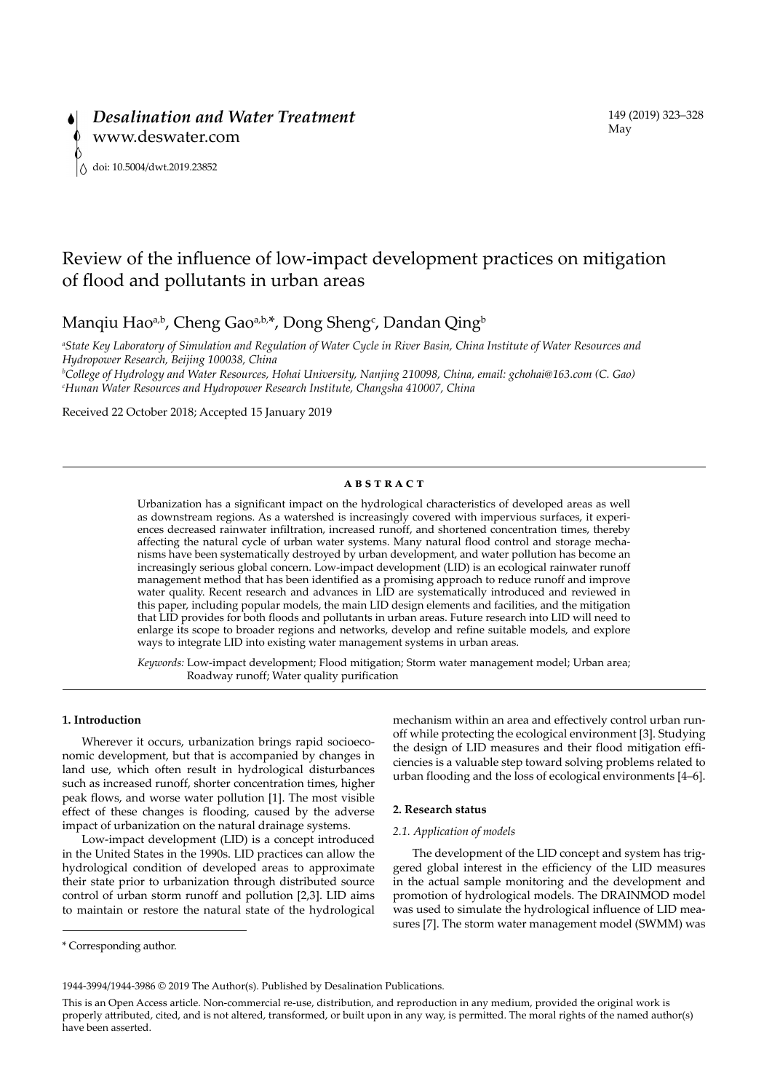# Review of the influence of low-impact development practices on mitigation of flood and pollutants in urban areas

## Manqiu Hao<sup>a,b</sup>, Cheng Gao<sup>a,b,\*</sup>, Dong Sheng<sup>c</sup>, Dandan Qing<sup>b</sup>

*a State Key Laboratory of Simulation and Regulation of Water Cycle in River Basin, China Institute of Water Resources and Hydropower Research, Beijing 100038, China*

*b College of Hydrology and Water Resources, Hohai University, Nanjing 210098, China, email: gchohai@163.com (C. Gao) c Hunan Water Resources and Hydropower Research Institute, Changsha 410007, China*

Received 22 October 2018; Accepted 15 January 2019

#### **ABSTRACT**

Urbanization has a significant impact on the hydrological characteristics of developed areas as well as downstream regions. As a watershed is increasingly covered with impervious surfaces, it experiences decreased rainwater infiltration, increased runoff, and shortened concentration times, thereby affecting the natural cycle of urban water systems. Many natural flood control and storage mechanisms have been systematically destroyed by urban development, and water pollution has become an increasingly serious global concern. Low-impact development (LID) is an ecological rainwater runoff management method that has been identified as a promising approach to reduce runoff and improve water quality. Recent research and advances in LID are systematically introduced and reviewed in this paper, including popular models, the main LID design elements and facilities, and the mitigation that LID provides for both floods and pollutants in urban areas. Future research into LID will need to enlarge its scope to broader regions and networks, develop and refine suitable models, and explore ways to integrate LID into existing water management systems in urban areas.

*Keywords:* Low-impact development; Flood mitigation; Storm water management model; Urban area; Roadway runoff; Water quality purification

#### **1. Introduction**

Wherever it occurs, urbanization brings rapid socioeconomic development, but that is accompanied by changes in land use, which often result in hydrological disturbances such as increased runoff, shorter concentration times, higher peak flows, and worse water pollution [1]. The most visible effect of these changes is flooding, caused by the adverse impact of urbanization on the natural drainage systems.

Low-impact development (LID) is a concept introduced in the United States in the 1990s. LID practices can allow the hydrological condition of developed areas to approximate their state prior to urbanization through distributed source control of urban storm runoff and pollution [2,3]. LID aims to maintain or restore the natural state of the hydrological mechanism within an area and effectively control urban runoff while protecting the ecological environment [3]. Studying the design of LID measures and their flood mitigation efficiencies is a valuable step toward solving problems related to urban flooding and the loss of ecological environments [4–6].

#### **2. Research status**

#### *2.1. Application of models*

The development of the LID concept and system has triggered global interest in the efficiency of the LID measures in the actual sample monitoring and the development and promotion of hydrological models. The DRAINMOD model was used to simulate the hydrological influence of LID measures [7]. The storm water management model (SWMM) was

<sup>\*</sup> Corresponding author.

<sup>1944-3994/1944-3986 © 2019</sup> The Author(s). Published by Desalination Publications.

This is an Open Access article. Non-commercial re-use, distribution, and reproduction in any medium, provided the original work is properly attributed, cited, and is not altered, transformed, or built upon in any way, is permitted. The moral rights of the named author(s) have been asserted.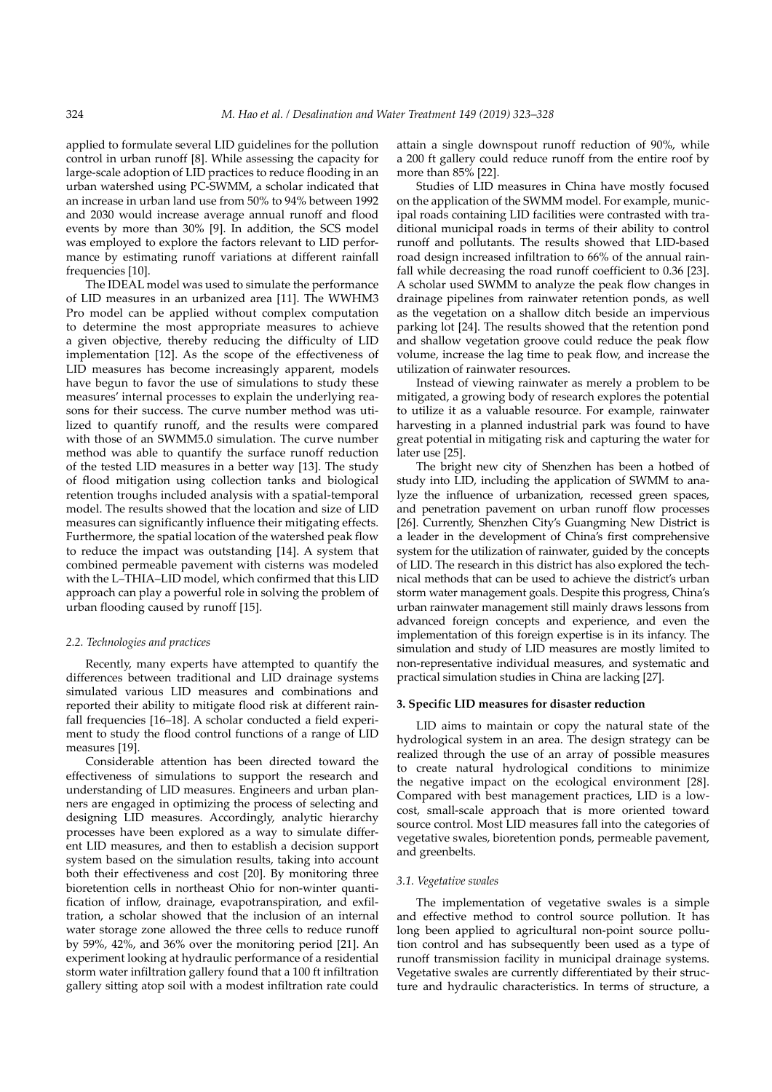applied to formulate several LID guidelines for the pollution control in urban runoff [8]. While assessing the capacity for large-scale adoption of LID practices to reduce flooding in an urban watershed using PC-SWMM, a scholar indicated that an increase in urban land use from 50% to 94% between 1992 and 2030 would increase average annual runoff and flood events by more than 30% [9]. In addition, the SCS model was employed to explore the factors relevant to LID performance by estimating runoff variations at different rainfall frequencies [10].

The IDEAL model was used to simulate the performance of LID measures in an urbanized area [11]. The WWHM3 Pro model can be applied without complex computation to determine the most appropriate measures to achieve a given objective, thereby reducing the difficulty of LID implementation [12]. As the scope of the effectiveness of LID measures has become increasingly apparent, models have begun to favor the use of simulations to study these measures' internal processes to explain the underlying reasons for their success. The curve number method was utilized to quantify runoff, and the results were compared with those of an SWMM5.0 simulation. The curve number method was able to quantify the surface runoff reduction of the tested LID measures in a better way [13]. The study of flood mitigation using collection tanks and biological retention troughs included analysis with a spatial-temporal model. The results showed that the location and size of LID measures can significantly influence their mitigating effects. Furthermore, the spatial location of the watershed peak flow to reduce the impact was outstanding [14]. A system that combined permeable pavement with cisterns was modeled with the L–THIA–LID model, which confirmed that this LID approach can play a powerful role in solving the problem of urban flooding caused by runoff [15].

## *2.2. Technologies and practices*

Recently, many experts have attempted to quantify the differences between traditional and LID drainage systems simulated various LID measures and combinations and reported their ability to mitigate flood risk at different rainfall frequencies [16–18]. A scholar conducted a field experiment to study the flood control functions of a range of LID measures [19].

Considerable attention has been directed toward the effectiveness of simulations to support the research and understanding of LID measures. Engineers and urban planners are engaged in optimizing the process of selecting and designing LID measures. Accordingly, analytic hierarchy processes have been explored as a way to simulate different LID measures, and then to establish a decision support system based on the simulation results, taking into account both their effectiveness and cost [20]. By monitoring three bioretention cells in northeast Ohio for non-winter quantification of inflow, drainage, evapotranspiration, and exfiltration, a scholar showed that the inclusion of an internal water storage zone allowed the three cells to reduce runoff by 59%, 42%, and 36% over the monitoring period [21]. An experiment looking at hydraulic performance of a residential storm water infiltration gallery found that a 100 ft infiltration gallery sitting atop soil with a modest infiltration rate could

attain a single downspout runoff reduction of 90%, while a 200 ft gallery could reduce runoff from the entire roof by more than 85% [22].

Studies of LID measures in China have mostly focused on the application of the SWMM model. For example, municipal roads containing LID facilities were contrasted with traditional municipal roads in terms of their ability to control runoff and pollutants. The results showed that LID-based road design increased infiltration to 66% of the annual rainfall while decreasing the road runoff coefficient to 0.36 [23]. A scholar used SWMM to analyze the peak flow changes in drainage pipelines from rainwater retention ponds, as well as the vegetation on a shallow ditch beside an impervious parking lot [24]. The results showed that the retention pond and shallow vegetation groove could reduce the peak flow volume, increase the lag time to peak flow, and increase the utilization of rainwater resources.

Instead of viewing rainwater as merely a problem to be mitigated, a growing body of research explores the potential to utilize it as a valuable resource. For example, rainwater harvesting in a planned industrial park was found to have great potential in mitigating risk and capturing the water for later use [25].

The bright new city of Shenzhen has been a hotbed of study into LID, including the application of SWMM to analyze the influence of urbanization, recessed green spaces, and penetration pavement on urban runoff flow processes [26]. Currently, Shenzhen City's Guangming New District is a leader in the development of China's first comprehensive system for the utilization of rainwater, guided by the concepts of LID. The research in this district has also explored the technical methods that can be used to achieve the district's urban storm water management goals. Despite this progress, China's urban rainwater management still mainly draws lessons from advanced foreign concepts and experience, and even the implementation of this foreign expertise is in its infancy. The simulation and study of LID measures are mostly limited to non-representative individual measures, and systematic and practical simulation studies in China are lacking [27].

#### **3. Specific LID measures for disaster reduction**

LID aims to maintain or copy the natural state of the hydrological system in an area. The design strategy can be realized through the use of an array of possible measures to create natural hydrological conditions to minimize the negative impact on the ecological environment [28]. Compared with best management practices, LID is a lowcost, small-scale approach that is more oriented toward source control. Most LID measures fall into the categories of vegetative swales, bioretention ponds, permeable pavement, and greenbelts.

#### *3.1. Vegetative swales*

The implementation of vegetative swales is a simple and effective method to control source pollution. It has long been applied to agricultural non-point source pollution control and has subsequently been used as a type of runoff transmission facility in municipal drainage systems. Vegetative swales are currently differentiated by their structure and hydraulic characteristics. In terms of structure, a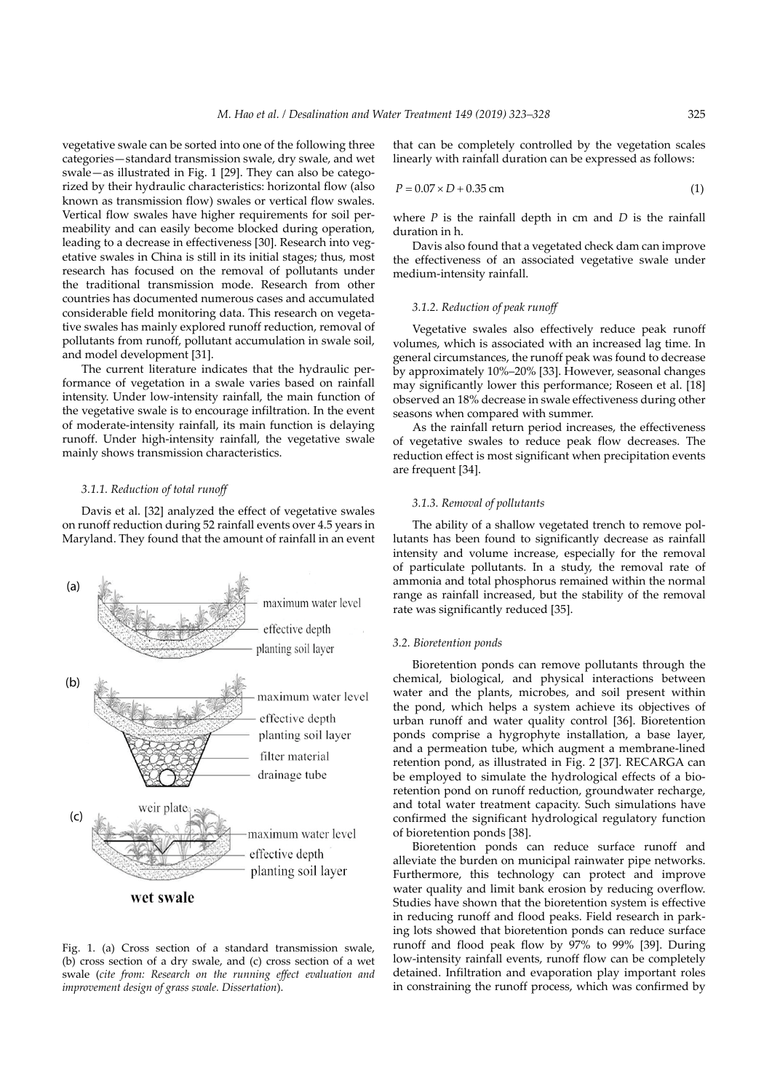vegetative swale can be sorted into one of the following three categories—standard transmission swale, dry swale, and wet swale—as illustrated in Fig. 1 [29]. They can also be categorized by their hydraulic characteristics: horizontal flow (also known as transmission flow) swales or vertical flow swales. Vertical flow swales have higher requirements for soil permeability and can easily become blocked during operation, leading to a decrease in effectiveness [30]. Research into vegetative swales in China is still in its initial stages; thus, most research has focused on the removal of pollutants under the traditional transmission mode. Research from other countries has documented numerous cases and accumulated considerable field monitoring data. This research on vegetative swales has mainly explored runoff reduction, removal of pollutants from runoff, pollutant accumulation in swale soil, and model development [31].

The current literature indicates that the hydraulic performance of vegetation in a swale varies based on rainfall intensity. Under low-intensity rainfall, the main function of the vegetative swale is to encourage infiltration. In the event of moderate-intensity rainfall, its main function is delaying runoff. Under high-intensity rainfall, the vegetative swale mainly shows transmission characteristics.

## *3.1.1. Reduction of total runoff*

Davis et al. [32] analyzed the effect of vegetative swales on runoff reduction during 52 rainfall events over 4.5 years in Maryland. They found that the amount of rainfall in an event



Fig. 1. (a) Cross section of a standard transmission swale, (b) cross section of a dry swale, and (c) cross section of a wet swale (*cite from: Research on the running effect evaluation and improvement design of grass swale. Dissertation*).

that can be completely controlled by the vegetation scales linearly with rainfall duration can be expressed as follows:

$$
P = 0.07 \times D + 0.35 \text{ cm} \tag{1}
$$

where *P* is the rainfall depth in cm and *D* is the rainfall duration in h.

Davis also found that a vegetated check dam can improve the effectiveness of an associated vegetative swale under medium-intensity rainfall.

#### *3.1.2. Reduction of peak runoff*

Vegetative swales also effectively reduce peak runoff volumes, which is associated with an increased lag time. In general circumstances, the runoff peak was found to decrease by approximately 10%–20% [33]. However, seasonal changes may significantly lower this performance; Roseen et al. [18] observed an 18% decrease in swale effectiveness during other seasons when compared with summer.

As the rainfall return period increases, the effectiveness of vegetative swales to reduce peak flow decreases. The reduction effect is most significant when precipitation events are frequent [34].

## *3.1.3. Removal of pollutants*

The ability of a shallow vegetated trench to remove pollutants has been found to significantly decrease as rainfall intensity and volume increase, especially for the removal of particulate pollutants. In a study, the removal rate of ammonia and total phosphorus remained within the normal range as rainfall increased, but the stability of the removal rate was significantly reduced [35].

#### *3.2. Bioretention ponds*

Bioretention ponds can remove pollutants through the chemical, biological, and physical interactions between water and the plants, microbes, and soil present within the pond, which helps a system achieve its objectives of urban runoff and water quality control [36]. Bioretention ponds comprise a hygrophyte installation, a base layer, and a permeation tube, which augment a membrane-lined retention pond, as illustrated in Fig. 2 [37]. RECARGA can be employed to simulate the hydrological effects of a bioretention pond on runoff reduction, groundwater recharge, and total water treatment capacity. Such simulations have confirmed the significant hydrological regulatory function of bioretention ponds [38].

Bioretention ponds can reduce surface runoff and alleviate the burden on municipal rainwater pipe networks. Furthermore, this technology can protect and improve water quality and limit bank erosion by reducing overflow. Studies have shown that the bioretention system is effective in reducing runoff and flood peaks. Field research in parking lots showed that bioretention ponds can reduce surface runoff and flood peak flow by 97% to 99% [39]. During low-intensity rainfall events, runoff flow can be completely detained. Infiltration and evaporation play important roles in constraining the runoff process, which was confirmed by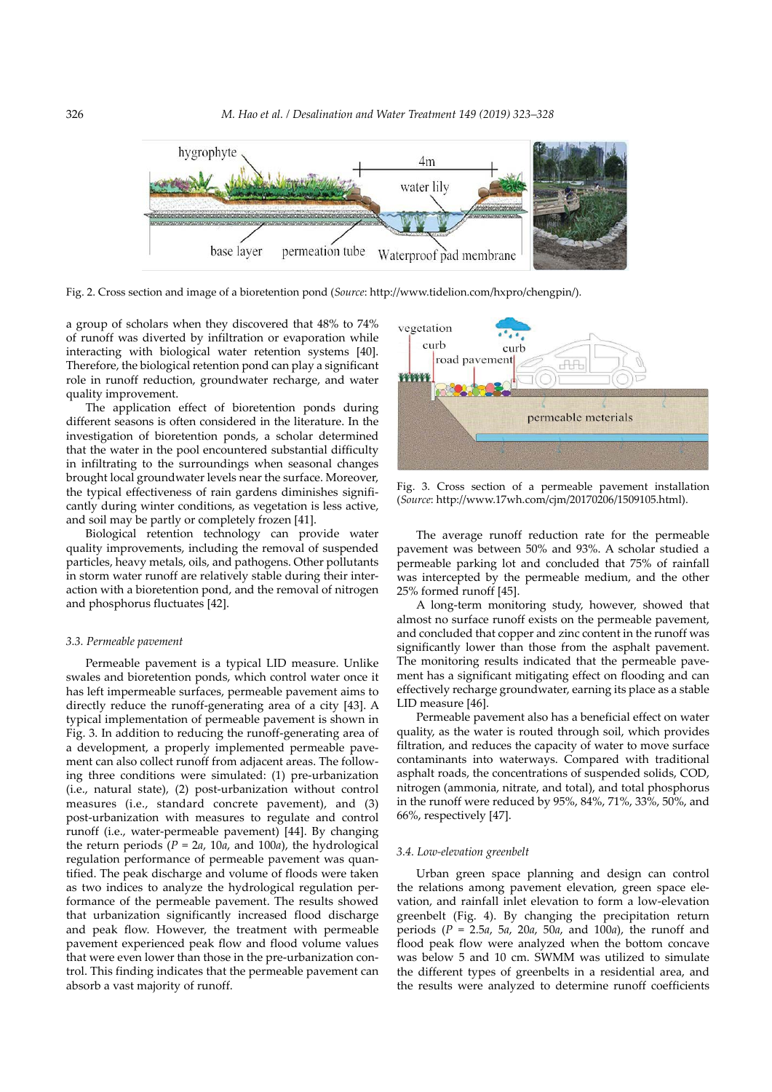

Fig. 2. Cross section and image of a bioretention pond (*Source*: http://www.tidelion.com/hxpro/chengpin/).

a group of scholars when they discovered that 48% to 74% of runoff was diverted by infiltration or evaporation while interacting with biological water retention systems [40]. Therefore, the biological retention pond can play a significant role in runoff reduction, groundwater recharge, and water quality improvement.

The application effect of bioretention ponds during different seasons is often considered in the literature. In the investigation of bioretention ponds, a scholar determined that the water in the pool encountered substantial difficulty in infiltrating to the surroundings when seasonal changes brought local groundwater levels near the surface. Moreover, the typical effectiveness of rain gardens diminishes significantly during winter conditions, as vegetation is less active, and soil may be partly or completely frozen [41].

Biological retention technology can provide water quality improvements, including the removal of suspended particles, heavy metals, oils, and pathogens. Other pollutants in storm water runoff are relatively stable during their interaction with a bioretention pond, and the removal of nitrogen and phosphorus fluctuates [42].

#### *3.3. Permeable pavement*

Permeable pavement is a typical LID measure. Unlike swales and bioretention ponds, which control water once it has left impermeable surfaces, permeable pavement aims to directly reduce the runoff-generating area of a city [43]. A typical implementation of permeable pavement is shown in Fig. 3. In addition to reducing the runoff-generating area of a development, a properly implemented permeable pavement can also collect runoff from adjacent areas. The following three conditions were simulated: (1) pre-urbanization (i.e., natural state), (2) post-urbanization without control measures (i.e., standard concrete pavement), and (3) post-urbanization with measures to regulate and control runoff (i.e., water-permeable pavement) [44]. By changing the return periods  $(P = 2a, 10a,$  and 100*a*), the hydrological regulation performance of permeable pavement was quantified. The peak discharge and volume of floods were taken as two indices to analyze the hydrological regulation performance of the permeable pavement. The results showed that urbanization significantly increased flood discharge and peak flow. However, the treatment with permeable pavement experienced peak flow and flood volume values that were even lower than those in the pre-urbanization control. This finding indicates that the permeable pavement can absorb a vast majority of runoff.



Fig. 3. Cross section of a permeable pavement installation (*Source*: http://www.17wh.com/cjm/20170206/1509105.html).

The average runoff reduction rate for the permeable pavement was between 50% and 93%. A scholar studied a permeable parking lot and concluded that 75% of rainfall was intercepted by the permeable medium, and the other 25% formed runoff [45].

A long-term monitoring study, however, showed that almost no surface runoff exists on the permeable pavement, and concluded that copper and zinc content in the runoff was significantly lower than those from the asphalt pavement. The monitoring results indicated that the permeable pavement has a significant mitigating effect on flooding and can effectively recharge groundwater, earning its place as a stable LID measure [46].

Permeable pavement also has a beneficial effect on water quality, as the water is routed through soil, which provides filtration, and reduces the capacity of water to move surface contaminants into waterways. Compared with traditional asphalt roads, the concentrations of suspended solids, COD, nitrogen (ammonia, nitrate, and total), and total phosphorus in the runoff were reduced by 95%, 84%, 71%, 33%, 50%, and 66%, respectively [47].

#### *3.4. Low-elevation greenbelt*

Urban green space planning and design can control the relations among pavement elevation, green space elevation, and rainfall inlet elevation to form a low-elevation greenbelt (Fig. 4). By changing the precipitation return periods (*P* = 2.5*a*, 5*a*, 20*a*, 50*a*, and 100*a*), the runoff and flood peak flow were analyzed when the bottom concave was below 5 and 10 cm. SWMM was utilized to simulate the different types of greenbelts in a residential area, and the results were analyzed to determine runoff coefficients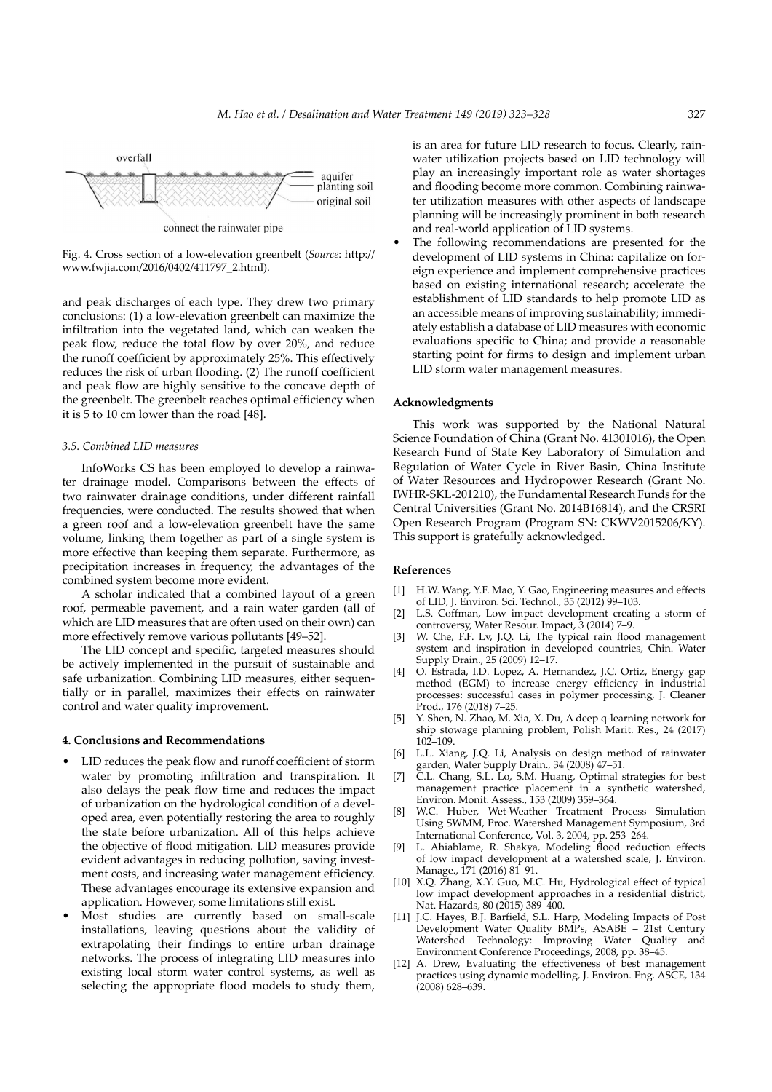

connect the rainwater pipe

Fig. 4. Cross section of a low-elevation greenbelt (*Source*: http:// www.fwjia.com/2016/0402/411797\_2.html).

and peak discharges of each type. They drew two primary conclusions: (1) a low-elevation greenbelt can maximize the infiltration into the vegetated land, which can weaken the peak flow, reduce the total flow by over 20%, and reduce the runoff coefficient by approximately 25%. This effectively reduces the risk of urban flooding. (2) The runoff coefficient and peak flow are highly sensitive to the concave depth of the greenbelt. The greenbelt reaches optimal efficiency when it is 5 to 10 cm lower than the road [48].

#### *3.5. Combined LID measures*

InfoWorks CS has been employed to develop a rainwater drainage model. Comparisons between the effects of two rainwater drainage conditions, under different rainfall frequencies, were conducted. The results showed that when a green roof and a low-elevation greenbelt have the same volume, linking them together as part of a single system is more effective than keeping them separate. Furthermore, as precipitation increases in frequency, the advantages of the combined system become more evident.

A scholar indicated that a combined layout of a green roof, permeable pavement, and a rain water garden (all of which are LID measures that are often used on their own) can more effectively remove various pollutants [49–52].

The LID concept and specific, targeted measures should be actively implemented in the pursuit of sustainable and safe urbanization. Combining LID measures, either sequentially or in parallel, maximizes their effects on rainwater control and water quality improvement.

#### **4. Conclusions and Recommendations**

- LID reduces the peak flow and runoff coefficient of storm water by promoting infiltration and transpiration. It also delays the peak flow time and reduces the impact of urbanization on the hydrological condition of a developed area, even potentially restoring the area to roughly the state before urbanization. All of this helps achieve the objective of flood mitigation. LID measures provide evident advantages in reducing pollution, saving investment costs, and increasing water management efficiency. These advantages encourage its extensive expansion and application. However, some limitations still exist.
- Most studies are currently based on small-scale installations, leaving questions about the validity of extrapolating their findings to entire urban drainage networks. The process of integrating LID measures into existing local storm water control systems, as well as selecting the appropriate flood models to study them,

is an area for future LID research to focus. Clearly, rainwater utilization projects based on LID technology will play an increasingly important role as water shortages and flooding become more common. Combining rainwater utilization measures with other aspects of landscape planning will be increasingly prominent in both research and real-world application of LID systems.

The following recommendations are presented for the development of LID systems in China: capitalize on foreign experience and implement comprehensive practices based on existing international research; accelerate the establishment of LID standards to help promote LID as an accessible means of improving sustainability; immediately establish a database of LID measures with economic evaluations specific to China; and provide a reasonable starting point for firms to design and implement urban LID storm water management measures.

#### **Acknowledgments**

This work was supported by the National Natural Science Foundation of China (Grant No. 41301016), the Open Research Fund of State Key Laboratory of Simulation and Regulation of Water Cycle in River Basin, China Institute of Water Resources and Hydropower Research (Grant No. IWHR-SKL-201210), the Fundamental Research Funds for the Central Universities (Grant No. 2014B16814), and the CRSRI Open Research Program (Program SN: CKWV2015206/KY). This support is gratefully acknowledged.

#### **References**

- [1] H.W. Wang, Y.F. Mao, Y. Gao, Engineering measures and effects of LID, J. Environ. Sci. Technol., 35 (2012) 99–103.
- [2] L.S. Coffman, Low impact development creating a storm of controversy, Water Resour. Impact, 3 (2014) 7–9.
- W. Che, F.F. Lv, J.Q. Li, The typical rain flood management system and inspiration in developed countries, Chin. Water Supply Drain., 25 (2009) 12–17.
- [4] O. Estrada, I.D. Lopez, A. Hernandez, J.C. Ortiz, Energy gap method (EGM) to increase energy efficiency in industrial processes: successful cases in polymer processing, J. Cleaner Prod., 176 (2018) 7–25.
- [5] Y. Shen, N. Zhao, M. Xia, X. Du, A deep q-learning network for ship stowage planning problem, Polish Marit. Res., 24 (2017)  $102 - 109$
- [6] L.L. Xiang, J.Q. Li, Analysis on design method of rainwater garden, Water Supply Drain., 34 (2008) 47–51.
- [7] C.L. Chang, S.L. Lo, S.M. Huang, Optimal strategies for best management practice placement in a synthetic watershed, Environ. Monit. Assess., 153 (2009) 359–364.
- [8] W.C. Huber, Wet-Weather Treatment Process Simulation Using SWMM, Proc. Watershed Management Symposium, 3rd International Conference, Vol. 3, 2004, pp. 253–264.
- [9] L. Ahiablame, R. Shakya, Modeling flood reduction effects of low impact development at a watershed scale, J. Environ. Manage., 171 (2016) 81–91.
- [10] X.Q. Zhang, X.Y. Guo, M.C. Hu, Hydrological effect of typical low impact development approaches in a residential district, Nat. Hazards, 80 (2015) 389–400.
- [11] J.C. Hayes, B.J. Barfield, S.L. Harp, Modeling Impacts of Post Development Water Quality BMPs, ASABE – 21st Century Watershed Technology: Improving Water Quality and Environment Conference Proceedings, 2008, pp. 38–45.
- [12] A. Drew, Evaluating the effectiveness of best management practices using dynamic modelling, J. Environ. Eng. ASCE, 134 (2008) 628–639.